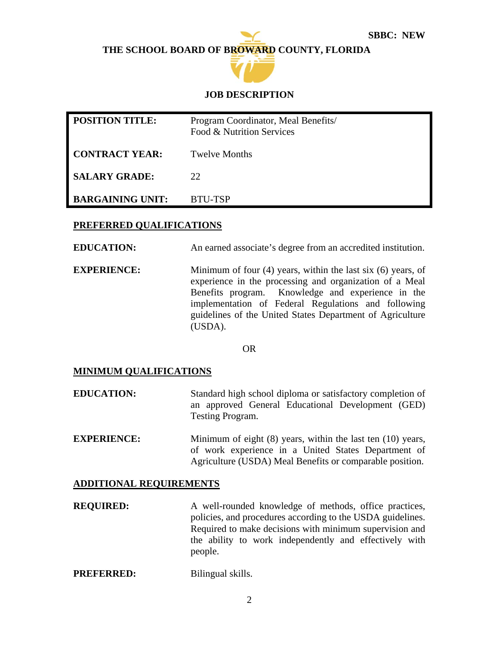**THE SCHOOL BOARD OF BROWARD COUNTY, FLORIDA**



## **JOB DESCRIPTION**

| <b>POSITION TITLE:</b>  | Program Coordinator, Meal Benefits/<br>Food & Nutrition Services |
|-------------------------|------------------------------------------------------------------|
| <b>CONTRACT YEAR:</b>   | <b>Twelve Months</b>                                             |
| <b>SALARY GRADE:</b>    | 22.                                                              |
| <b>BARGAINING UNIT:</b> | BTU-TSP                                                          |

### **PREFERRED QUALIFICATIONS**

**EDUCATION:** An earned associate's degree from an accredited institution.

**EXPERIENCE:** Minimum of four (4) years, within the last six (6) years, of experience in the processing and organization of a Meal Benefits program. Knowledge and experience in the implementation of Federal Regulations and following guidelines of the United States Department of Agriculture (USDA).

OR

#### **MINIMUM QUALIFICATIONS**

- **EDUCATION:** Standard high school diploma or satisfactory completion of an approved General Educational Development (GED) Testing Program.
- **EXPERIENCE:** Minimum of eight (8) years, within the last ten (10) years, of work experience in a United States Department of Agriculture (USDA) Meal Benefits or comparable position.

#### **ADDITIONAL REQUIREMENTS**

- **REQUIRED:** A well-rounded knowledge of methods, office practices, policies, and procedures according to the USDA guidelines. Required to make decisions with minimum supervision and the ability to work independently and effectively with people.
- **PREFERRED:** Bilingual skills.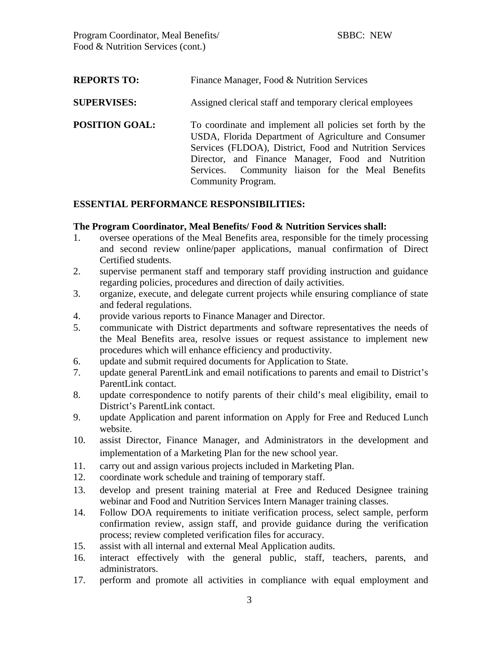| <b>REPORTS TO:</b>    | Finance Manager, Food & Nutrition Services                                                                                                                                                                                                                                                                   |  |  |
|-----------------------|--------------------------------------------------------------------------------------------------------------------------------------------------------------------------------------------------------------------------------------------------------------------------------------------------------------|--|--|
| <b>SUPERVISES:</b>    | Assigned clerical staff and temporary clerical employees                                                                                                                                                                                                                                                     |  |  |
| <b>POSITION GOAL:</b> | To coordinate and implement all policies set forth by the<br>USDA, Florida Department of Agriculture and Consumer<br>Services (FLDOA), District, Food and Nutrition Services<br>Director, and Finance Manager, Food and Nutrition<br>Services. Community liaison for the Meal Benefits<br>Community Program. |  |  |

## **ESSENTIAL PERFORMANCE RESPONSIBILITIES:**

#### **The Program Coordinator, Meal Benefits/ Food & Nutrition Services shall:**

- 1. oversee operations of the Meal Benefits area, responsible for the timely processing and second review online/paper applications, manual confirmation of Direct Certified students.
- 2. supervise permanent staff and temporary staff providing instruction and guidance regarding policies, procedures and direction of daily activities.
- 3. organize, execute, and delegate current projects while ensuring compliance of state and federal regulations.
- 4. provide various reports to Finance Manager and Director.
- 5. communicate with District departments and software representatives the needs of the Meal Benefits area, resolve issues or request assistance to implement new procedures which will enhance efficiency and productivity.
- 6. update and submit required documents for Application to State.
- 7. update general ParentLink and email notifications to parents and email to District's ParentLink contact.
- 8. update correspondence to notify parents of their child's meal eligibility, email to District's ParentLink contact.
- 9. update Application and parent information on Apply for Free and Reduced Lunch website.
- 10. assist Director, Finance Manager, and Administrators in the development and implementation of a Marketing Plan for the new school year.
- 11. carry out and assign various projects included in Marketing Plan.
- 12. coordinate work schedule and training of temporary staff.
- 13. develop and present training material at Free and Reduced Designee training webinar and Food and Nutrition Services Intern Manager training classes.
- 14. Follow DOA requirements to initiate verification process, select sample, perform confirmation review, assign staff, and provide guidance during the verification process; review completed verification files for accuracy.
- 15. assist with all internal and external Meal Application audits.
- 16. interact effectively with the general public, staff, teachers, parents, and administrators.
- 17. perform and promote all activities in compliance with equal employment and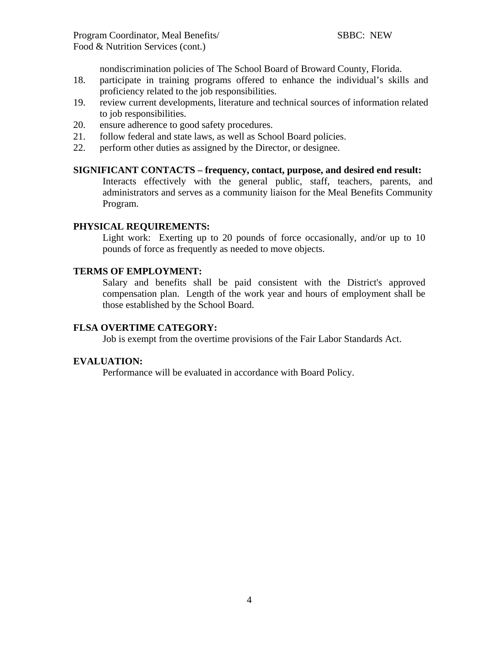nondiscrimination policies of The School Board of Broward County, Florida.

- 18. participate in training programs offered to enhance the individual's skills and proficiency related to the job responsibilities.
- 19. review current developments, literature and technical sources of information related to job responsibilities.
- 20. ensure adherence to good safety procedures.
- 21. follow federal and state laws, as well as School Board policies.
- 22. perform other duties as assigned by the Director, or designee.

#### **SIGNIFICANT CONTACTS – frequency, contact, purpose, and desired end result:**

Interacts effectively with the general public, staff, teachers, parents, and administrators and serves as a community liaison for the Meal Benefits Community Program.

#### **PHYSICAL REQUIREMENTS:**

Light work: Exerting up to 20 pounds of force occasionally, and/or up to 10 pounds of force as frequently as needed to move objects.

## **TERMS OF EMPLOYMENT:**

Salary and benefits shall be paid consistent with the District's approved compensation plan. Length of the work year and hours of employment shall be those established by the School Board.

#### **FLSA OVERTIME CATEGORY:**

Job is exempt from the overtime provisions of the Fair Labor Standards Act.

#### **EVALUATION:**

Performance will be evaluated in accordance with Board Policy.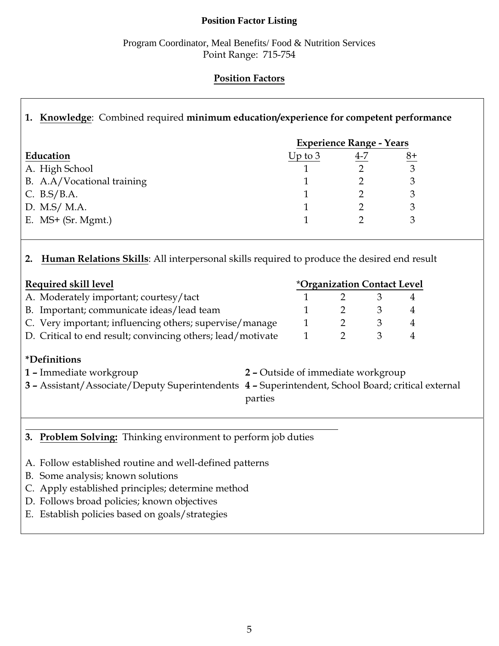## **Position Factor Listing**

## Program Coordinator, Meal Benefits/ Food & Nutrition Services Point Range: 715-754

# **Position Factors**

# **1. Knowledge**: Combined required **minimum education/experience for competent performance**

|                            | <b>Experience Range - Years</b> |     |    |  |
|----------------------------|---------------------------------|-----|----|--|
| Education                  | Up to $3$                       | 4-7 | 8+ |  |
| A. High School             |                                 |     | 3  |  |
| B. A.A/Vocational training |                                 |     |    |  |
| C. $B.S/B.A.$              |                                 |     |    |  |
| D. M.S/ M.A.               |                                 |     |    |  |
| E. $MS+$ (Sr. Mgmt.)       |                                 |     |    |  |

# **2. Human Relations Skills**: All interpersonal skills required to produce the desired end result

| Required skill level                                        |  | <i><b>*Organization Contact Level</b></i> |  |  |  |
|-------------------------------------------------------------|--|-------------------------------------------|--|--|--|
| A. Moderately important; courtesy/tact                      |  |                                           |  |  |  |
| B. Important; communicate ideas/lead team                   |  |                                           |  |  |  |
| C. Very important; influencing others; supervise/manage     |  |                                           |  |  |  |
| D. Critical to end result; convincing others; lead/motivate |  |                                           |  |  |  |

# **\*Definitions**

- **1 –** Immediate workgroup **2** Outside of immediate workgroup **3 –** Assistant/Associate/Deputy Superintendents **4 –** Superintendent, School Board; critical external parties
- **3. Problem Solving:** Thinking environment to perform job duties
- A. Follow established routine and well-defined patterns
- B. Some analysis; known solutions
- C. Apply established principles; determine method
- D. Follows broad policies; known objectives
- E. Establish policies based on goals/strategies